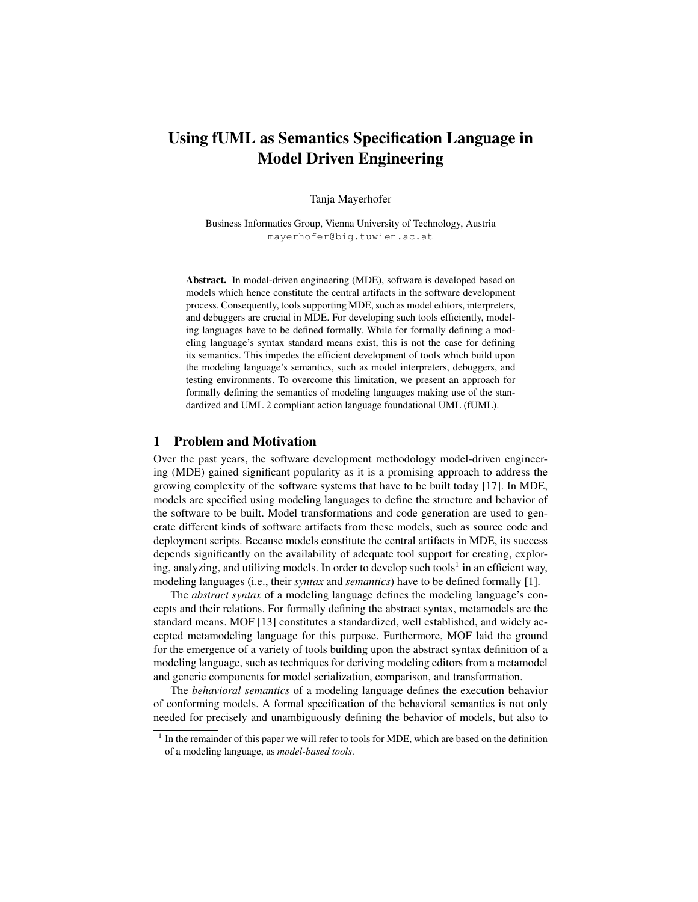# Using fUML as Semantics Specification Language in Model Driven Engineering

Tanja Mayerhofer

Business Informatics Group, Vienna University of Technology, Austria mayerhofer@big.tuwien.ac.at

Abstract. In model-driven engineering (MDE), software is developed based on models which hence constitute the central artifacts in the software development process. Consequently, tools supporting MDE, such as model editors, interpreters, and debuggers are crucial in MDE. For developing such tools efficiently, modeling languages have to be defined formally. While for formally defining a modeling language's syntax standard means exist, this is not the case for defining its semantics. This impedes the efficient development of tools which build upon the modeling language's semantics, such as model interpreters, debuggers, and testing environments. To overcome this limitation, we present an approach for formally defining the semantics of modeling languages making use of the standardized and UML 2 compliant action language foundational UML (fUML).

## 1 Problem and Motivation

Over the past years, the software development methodology model-driven engineering (MDE) gained significant popularity as it is a promising approach to address the growing complexity of the software systems that have to be built today [17]. In MDE, models are specified using modeling languages to define the structure and behavior of the software to be built. Model transformations and code generation are used to generate different kinds of software artifacts from these models, such as source code and deployment scripts. Because models constitute the central artifacts in MDE, its success depends significantly on the availability of adequate tool support for creating, exploring, analyzing, and utilizing models. In order to develop such tools<sup>1</sup> in an efficient way, modeling languages (i.e., their *syntax* and *semantics*) have to be defined formally [1].

The *abstract syntax* of a modeling language defines the modeling language's concepts and their relations. For formally defining the abstract syntax, metamodels are the standard means. MOF [13] constitutes a standardized, well established, and widely accepted metamodeling language for this purpose. Furthermore, MOF laid the ground for the emergence of a variety of tools building upon the abstract syntax definition of a modeling language, such as techniques for deriving modeling editors from a metamodel and generic components for model serialization, comparison, and transformation.

The *behavioral semantics* of a modeling language defines the execution behavior of conforming models. A formal specification of the behavioral semantics is not only needed for precisely and unambiguously defining the behavior of models, but also to

 $<sup>1</sup>$  In the remainder of this paper we will refer to tools for MDE, which are based on the definition</sup> of a modeling language, as *model-based tools*.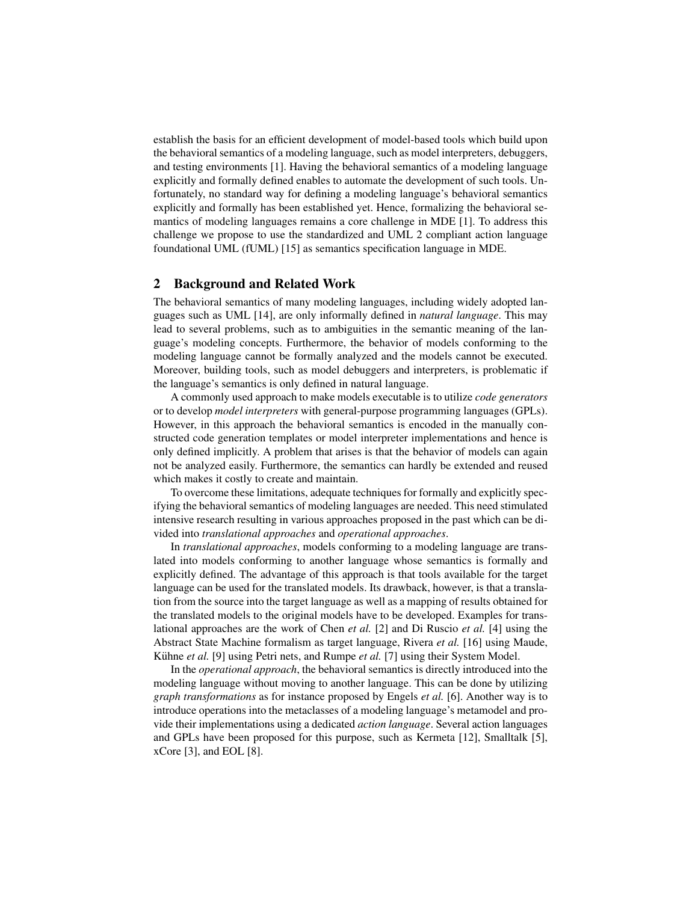establish the basis for an efficient development of model-based tools which build upon the behavioral semantics of a modeling language, such as model interpreters, debuggers, and testing environments [1]. Having the behavioral semantics of a modeling language explicitly and formally defined enables to automate the development of such tools. Unfortunately, no standard way for defining a modeling language's behavioral semantics explicitly and formally has been established yet. Hence, formalizing the behavioral semantics of modeling languages remains a core challenge in MDE [1]. To address this challenge we propose to use the standardized and UML 2 compliant action language foundational UML (fUML) [15] as semantics specification language in MDE.

## 2 Background and Related Work

The behavioral semantics of many modeling languages, including widely adopted languages such as UML [14], are only informally defined in *natural language*. This may lead to several problems, such as to ambiguities in the semantic meaning of the language's modeling concepts. Furthermore, the behavior of models conforming to the modeling language cannot be formally analyzed and the models cannot be executed. Moreover, building tools, such as model debuggers and interpreters, is problematic if the language's semantics is only defined in natural language.

A commonly used approach to make models executable is to utilize *code generators* or to develop *model interpreters* with general-purpose programming languages (GPLs). However, in this approach the behavioral semantics is encoded in the manually constructed code generation templates or model interpreter implementations and hence is only defined implicitly. A problem that arises is that the behavior of models can again not be analyzed easily. Furthermore, the semantics can hardly be extended and reused which makes it costly to create and maintain.

To overcome these limitations, adequate techniques for formally and explicitly specifying the behavioral semantics of modeling languages are needed. This need stimulated intensive research resulting in various approaches proposed in the past which can be divided into *translational approaches* and *operational approaches*.

In *translational approaches*, models conforming to a modeling language are translated into models conforming to another language whose semantics is formally and explicitly defined. The advantage of this approach is that tools available for the target language can be used for the translated models. Its drawback, however, is that a translation from the source into the target language as well as a mapping of results obtained for the translated models to the original models have to be developed. Examples for translational approaches are the work of Chen *et al.* [2] and Di Ruscio *et al.* [4] using the Abstract State Machine formalism as target language, Rivera *et al.* [16] using Maude, Kühne et al. [9] using Petri nets, and Rumpe et al. [7] using their System Model.

In the *operational approach*, the behavioral semantics is directly introduced into the modeling language without moving to another language. This can be done by utilizing *graph transformations* as for instance proposed by Engels *et al.* [6]. Another way is to introduce operations into the metaclasses of a modeling language's metamodel and provide their implementations using a dedicated *action language*. Several action languages and GPLs have been proposed for this purpose, such as Kermeta [12], Smalltalk [5], xCore [3], and EOL [8].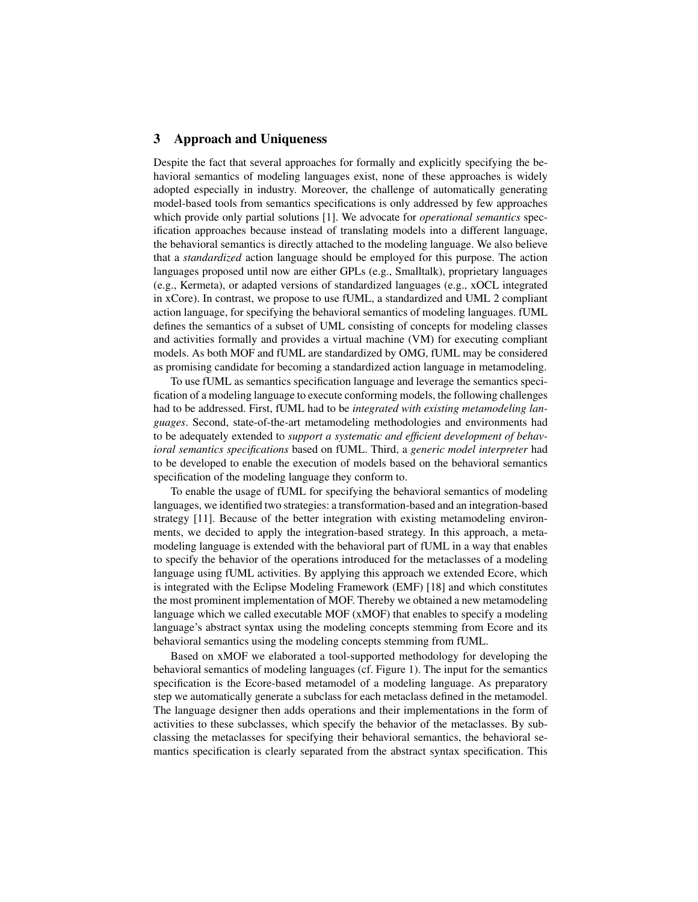### 3 Approach and Uniqueness

Despite the fact that several approaches for formally and explicitly specifying the behavioral semantics of modeling languages exist, none of these approaches is widely adopted especially in industry. Moreover, the challenge of automatically generating model-based tools from semantics specifications is only addressed by few approaches which provide only partial solutions [1]. We advocate for *operational semantics* specification approaches because instead of translating models into a different language, the behavioral semantics is directly attached to the modeling language. We also believe that a *standardized* action language should be employed for this purpose. The action languages proposed until now are either GPLs (e.g., Smalltalk), proprietary languages (e.g., Kermeta), or adapted versions of standardized languages (e.g., xOCL integrated in xCore). In contrast, we propose to use fUML, a standardized and UML 2 compliant action language, for specifying the behavioral semantics of modeling languages. fUML defines the semantics of a subset of UML consisting of concepts for modeling classes and activities formally and provides a virtual machine (VM) for executing compliant models. As both MOF and fUML are standardized by OMG, fUML may be considered as promising candidate for becoming a standardized action language in metamodeling.

To use fUML as semantics specification language and leverage the semantics specification of a modeling language to execute conforming models, the following challenges had to be addressed. First, fUML had to be *integrated with existing metamodeling languages*. Second, state-of-the-art metamodeling methodologies and environments had to be adequately extended to *support a systematic and efficient development of behavioral semantics specifications* based on fUML. Third, a *generic model interpreter* had to be developed to enable the execution of models based on the behavioral semantics specification of the modeling language they conform to.

To enable the usage of fUML for specifying the behavioral semantics of modeling languages, we identified two strategies: a transformation-based and an integration-based strategy [11]. Because of the better integration with existing metamodeling environments, we decided to apply the integration-based strategy. In this approach, a metamodeling language is extended with the behavioral part of fUML in a way that enables to specify the behavior of the operations introduced for the metaclasses of a modeling language using fUML activities. By applying this approach we extended Ecore, which is integrated with the Eclipse Modeling Framework (EMF) [18] and which constitutes the most prominent implementation of MOF. Thereby we obtained a new metamodeling language which we called executable MOF (xMOF) that enables to specify a modeling language's abstract syntax using the modeling concepts stemming from Ecore and its behavioral semantics using the modeling concepts stemming from fUML.

Based on xMOF we elaborated a tool-supported methodology for developing the behavioral semantics of modeling languages (cf. Figure 1). The input for the semantics specification is the Ecore-based metamodel of a modeling language. As preparatory step we automatically generate a subclass for each metaclass defined in the metamodel. The language designer then adds operations and their implementations in the form of activities to these subclasses, which specify the behavior of the metaclasses. By subclassing the metaclasses for specifying their behavioral semantics, the behavioral semantics specification is clearly separated from the abstract syntax specification. This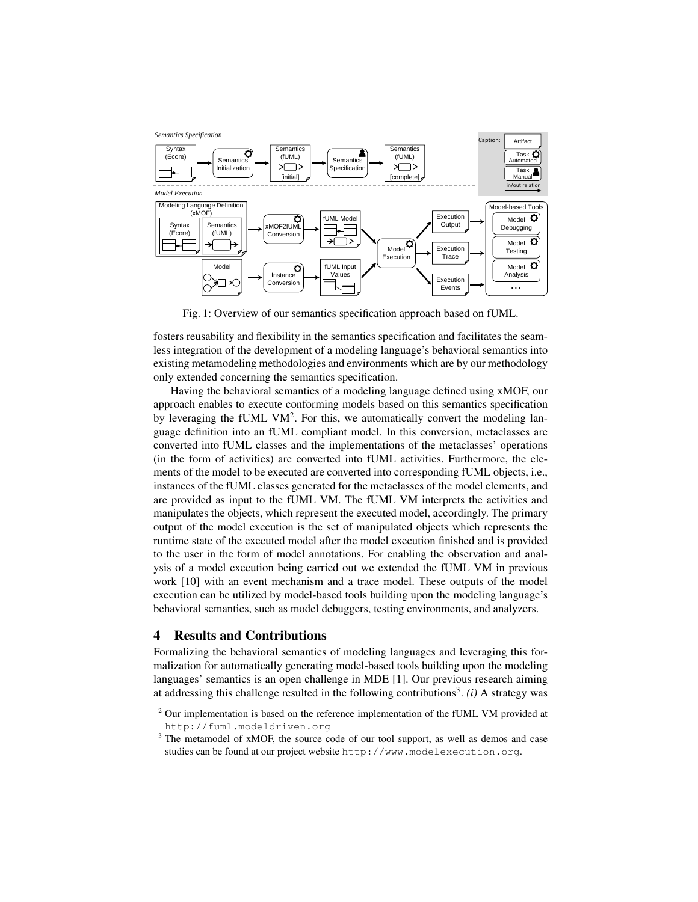

Fig. 1: Overview of our semantics specification approach based on fUML.

fosters reusability and flexibility in the semantics specification and facilitates the seamless integration of the development of a modeling language's behavioral semantics into existing metamodeling methodologies and environments which are by our methodology only extended concerning the semantics specification.

Having the behavioral semantics of a modeling language defined using xMOF, our approach enables to execute conforming models based on this semantics specification by leveraging the fUML VM<sup>2</sup>. For this, we automatically convert the modeling language definition into an fUML compliant model. In this conversion, metaclasses are converted into fUML classes and the implementations of the metaclasses' operations (in the form of activities) are converted into fUML activities. Furthermore, the elements of the model to be executed are converted into corresponding fUML objects, i.e., instances of the fUML classes generated for the metaclasses of the model elements, and are provided as input to the fUML VM. The fUML VM interprets the activities and manipulates the objects, which represent the executed model, accordingly. The primary output of the model execution is the set of manipulated objects which represents the runtime state of the executed model after the model execution finished and is provided to the user in the form of model annotations. For enabling the observation and analysis of a model execution being carried out we extended the fUML VM in previous work [10] with an event mechanism and a trace model. These outputs of the model execution can be utilized by model-based tools building upon the modeling language's behavioral semantics, such as model debuggers, testing environments, and analyzers.

## 4 Results and Contributions

Formalizing the behavioral semantics of modeling languages and leveraging this formalization for automatically generating model-based tools building upon the modeling languages' semantics is an open challenge in MDE [1]. Our previous research aiming at addressing this challenge resulted in the following contributions<sup>3</sup>. (i) A strategy was

<sup>&</sup>lt;sup>2</sup> Our implementation is based on the reference implementation of the fUML VM provided at http://fuml.modeldriven.org

<sup>&</sup>lt;sup>3</sup> The metamodel of xMOF, the source code of our tool support, as well as demos and case studies can be found at our project website http://www.modelexecution.org.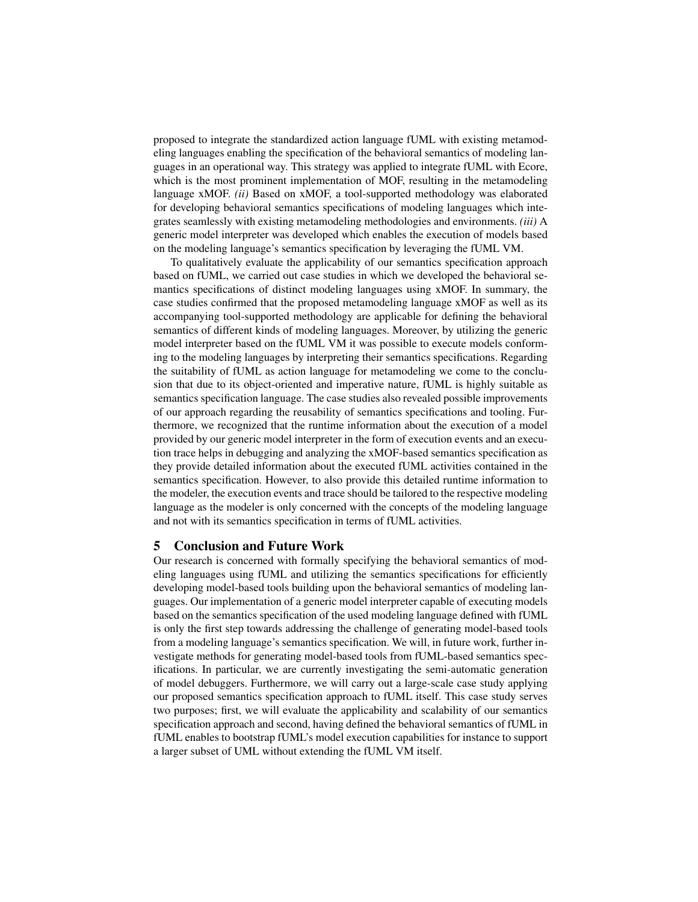proposed to integrate the standardized action language fUML with existing metamodeling languages enabling the specification of the behavioral semantics of modeling languages in an operational way. This strategy was applied to integrate fUML with Ecore, which is the most prominent implementation of MOF, resulting in the metamodeling language xMOF. *(ii)* Based on xMOF, a tool-supported methodology was elaborated for developing behavioral semantics specifications of modeling languages which integrates seamlessly with existing metamodeling methodologies and environments. *(iii)* A generic model interpreter was developed which enables the execution of models based on the modeling language's semantics specification by leveraging the fUML VM.

To qualitatively evaluate the applicability of our semantics specification approach based on fUML, we carried out case studies in which we developed the behavioral semantics specifications of distinct modeling languages using xMOF. In summary, the case studies confirmed that the proposed metamodeling language xMOF as well as its accompanying tool-supported methodology are applicable for defining the behavioral semantics of different kinds of modeling languages. Moreover, by utilizing the generic model interpreter based on the fUML VM it was possible to execute models conforming to the modeling languages by interpreting their semantics specifications. Regarding the suitability of fUML as action language for metamodeling we come to the conclusion that due to its object-oriented and imperative nature, fUML is highly suitable as semantics specification language. The case studies also revealed possible improvements of our approach regarding the reusability of semantics specifications and tooling. Furthermore, we recognized that the runtime information about the execution of a model provided by our generic model interpreter in the form of execution events and an execution trace helps in debugging and analyzing the xMOF-based semantics specification as they provide detailed information about the executed fUML activities contained in the semantics specification. However, to also provide this detailed runtime information to the modeler, the execution events and trace should be tailored to the respective modeling language as the modeler is only concerned with the concepts of the modeling language and not with its semantics specification in terms of fUML activities.

# 5 Conclusion and Future Work

Our research is concerned with formally specifying the behavioral semantics of modeling languages using fUML and utilizing the semantics specifications for efficiently developing model-based tools building upon the behavioral semantics of modeling languages. Our implementation of a generic model interpreter capable of executing models based on the semantics specification of the used modeling language defined with fUML is only the first step towards addressing the challenge of generating model-based tools from a modeling language's semantics specification. We will, in future work, further investigate methods for generating model-based tools from fUML-based semantics specifications. In particular, we are currently investigating the semi-automatic generation of model debuggers. Furthermore, we will carry out a large-scale case study applying our proposed semantics specification approach to fUML itself. This case study serves two purposes; first, we will evaluate the applicability and scalability of our semantics specification approach and second, having defined the behavioral semantics of fUML in fUML enables to bootstrap fUML's model execution capabilities for instance to support a larger subset of UML without extending the fUML VM itself.